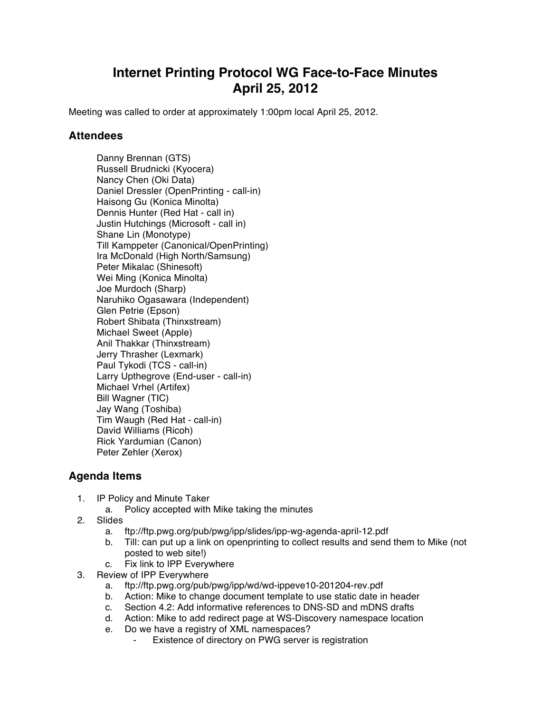## **Internet Printing Protocol WG Face-to-Face Minutes April 25, 2012**

Meeting was called to order at approximately 1:00pm local April 25, 2012.

## **Attendees**

Danny Brennan (GTS) Russell Brudnicki (Kyocera) Nancy Chen (Oki Data) Daniel Dressler (OpenPrinting - call-in) Haisong Gu (Konica Minolta) Dennis Hunter (Red Hat - call in) Justin Hutchings (Microsoft - call in) Shane Lin (Monotype) Till Kamppeter (Canonical/OpenPrinting) Ira McDonald (High North/Samsung) Peter Mikalac (Shinesoft) Wei Ming (Konica Minolta) Joe Murdoch (Sharp) Naruhiko Ogasawara (Independent) Glen Petrie (Epson) Robert Shibata (Thinxstream) Michael Sweet (Apple) Anil Thakkar (Thinxstream) Jerry Thrasher (Lexmark) Paul Tykodi (TCS - call-in) Larry Upthegrove (End-user - call-in) Michael Vrhel (Artifex) Bill Wagner (TIC) Jay Wang (Toshiba) Tim Waugh (Red Hat - call-in) David Williams (Ricoh) Rick Yardumian (Canon) Peter Zehler (Xerox)

## **Agenda Items**

- 1. IP Policy and Minute Taker
	- a. Policy accepted with Mike taking the minutes
- 2. Slides
	- a. ftp://ftp.pwg.org/pub/pwg/ipp/slides/ipp-wg-agenda-april-12.pdf
	- b. Till: can put up a link on openprinting to collect results and send them to Mike (not posted to web site!)
	- c. Fix link to IPP Everywhere
- 3. Review of IPP Everywhere
	- a. ftp://ftp.pwg.org/pub/pwg/ipp/wd/wd-ippeve10-201204-rev.pdf
	- b. Action: Mike to change document template to use static date in header
	- c. Section 4.2: Add informative references to DNS-SD and mDNS drafts
	- d. Action: Mike to add redirect page at WS-Discovery namespace location
	- e. Do we have a registry of XML namespaces?
		- Existence of directory on PWG server is registration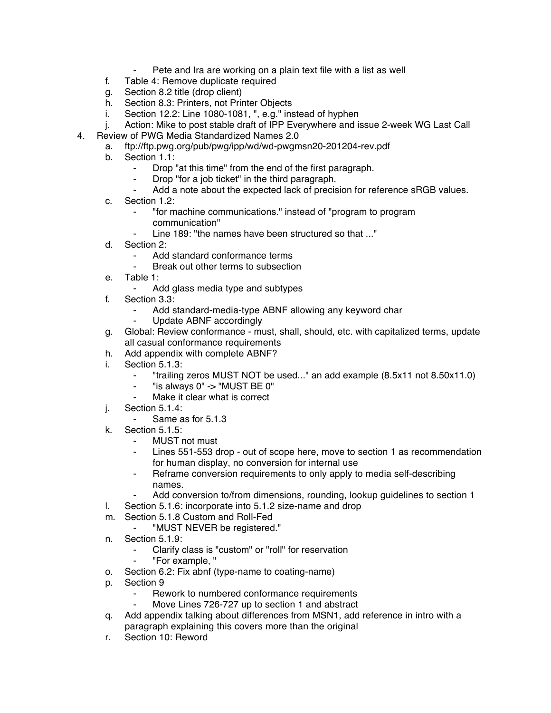- Pete and Ira are working on a plain text file with a list as well
- f. Table 4: Remove duplicate required
- g. Section 8.2 title (drop client)
- h. Section 8.3: Printers, not Printer Objects
- i. Section 12.2: Line 1080-1081, ", e.g." instead of hyphen
- j. Action: Mike to post stable draft of IPP Everywhere and issue 2-week WG Last Call
- 4. Review of PWG Media Standardized Names 2.0
	- a. ftp://ftp.pwg.org/pub/pwg/ipp/wd/wd-pwgmsn20-201204-rev.pdf
	- b. Section 1.1:
		- ⁃ Drop "at this time" from the end of the first paragraph.
		- Drop "for a job ticket" in the third paragraph.
		- Add a note about the expected lack of precision for reference sRGB values.
	- c. Section 1.2:
		- ⁃ "for machine communications." instead of "program to program communication"
		- Line 189: "the names have been structured so that ..."
	- d. Section 2:
		- Add standard conformance terms
		- Break out other terms to subsection
	- e. Table 1:
		- ⁃ Add glass media type and subtypes
	- f. Section 3.3:
		- Add standard-media-type ABNF allowing any keyword char<br>- Undate ABNF accordingly
		- Update ABNF accordingly
	- g. Global: Review conformance must, shall, should, etc. with capitalized terms, update all casual conformance requirements
	- h. Add appendix with complete ABNF?
	- i. Section 5.1.3:
		- ⁃ "trailing zeros MUST NOT be used..." an add example (8.5x11 not 8.50x11.0)
		- ⁃ "is always 0" -> "MUST BE 0"
		- Make it clear what is correct
	- j. Section 5.1.4:
		- Same as for 5.1.3
	- k. Section 5.1.5:
		- **MUST not must**
		- Lines 551-553 drop out of scope here, move to section 1 as recommendation for human display, no conversion for internal use
		- Reframe conversion requirements to only apply to media self-describing names.
		- Add conversion to/from dimensions, rounding, lookup guidelines to section 1
	- l. Section 5.1.6: incorporate into 5.1.2 size-name and drop
	- m. Section 5.1.8 Custom and Roll-Fed
		- ⁃ "MUST NEVER be registered."
	- n. Section 5.1.9:
		- Clarify class is "custom" or "roll" for reservation
		- ⁃ "For example, "
	- o. Section 6.2: Fix abnf (type-name to coating-name)
	- p. Section 9
		- Rework to numbered conformance requirements
		- Move Lines 726-727 up to section 1 and abstract
	- q. Add appendix talking about differences from MSN1, add reference in intro with a paragraph explaining this covers more than the original
	- r. Section 10: Reword